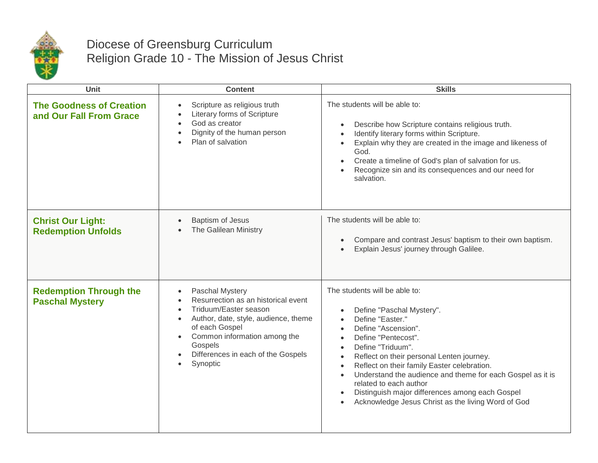

## Diocese of Greensburg Curriculum Religion Grade 10 - The Mission of Jesus Christ

| Unit                                                       | <b>Content</b>                                                                                                                                                                                                                                                                             | <b>Skills</b>                                                                                                                                                                                                                                                                                                                                                                                                                                                                                                                                          |
|------------------------------------------------------------|--------------------------------------------------------------------------------------------------------------------------------------------------------------------------------------------------------------------------------------------------------------------------------------------|--------------------------------------------------------------------------------------------------------------------------------------------------------------------------------------------------------------------------------------------------------------------------------------------------------------------------------------------------------------------------------------------------------------------------------------------------------------------------------------------------------------------------------------------------------|
| <b>The Goodness of Creation</b><br>and Our Fall From Grace | Scripture as religious truth<br>$\bullet$<br>Literary forms of Scripture<br>God as creator<br>$\bullet$<br>Dignity of the human person<br>$\bullet$<br>Plan of salvation<br>$\bullet$                                                                                                      | The students will be able to:<br>Describe how Scripture contains religious truth.<br>$\bullet$<br>Identify literary forms within Scripture.<br>$\bullet$<br>Explain why they are created in the image and likeness of<br>God.<br>Create a timeline of God's plan of salvation for us.<br>$\bullet$<br>Recognize sin and its consequences and our need for<br>salvation.                                                                                                                                                                                |
| <b>Christ Our Light:</b><br><b>Redemption Unfolds</b>      | Baptism of Jesus<br>The Galilean Ministry                                                                                                                                                                                                                                                  | The students will be able to:<br>Compare and contrast Jesus' baptism to their own baptism.<br>$\bullet$<br>Explain Jesus' journey through Galilee.                                                                                                                                                                                                                                                                                                                                                                                                     |
| <b>Redemption Through the</b><br><b>Paschal Mystery</b>    | Paschal Mystery<br>$\bullet$<br>Resurrection as an historical event<br>Triduum/Easter season<br>$\bullet$<br>Author, date, style, audience, theme<br>$\bullet$<br>of each Gospel<br>Common information among the<br>$\bullet$<br>Gospels<br>Differences in each of the Gospels<br>Synoptic | The students will be able to:<br>Define "Paschal Mystery".<br>Define "Easter."<br>$\bullet$<br>Define "Ascension".<br>$\bullet$<br>Define "Pentecost".<br>$\bullet$<br>Define "Triduum".<br>$\bullet$<br>Reflect on their personal Lenten journey.<br>$\bullet$<br>Reflect on their family Easter celebration.<br>$\bullet$<br>Understand the audience and theme for each Gospel as it is<br>$\bullet$<br>related to each author<br>Distinguish major differences among each Gospel<br>$\bullet$<br>Acknowledge Jesus Christ as the living Word of God |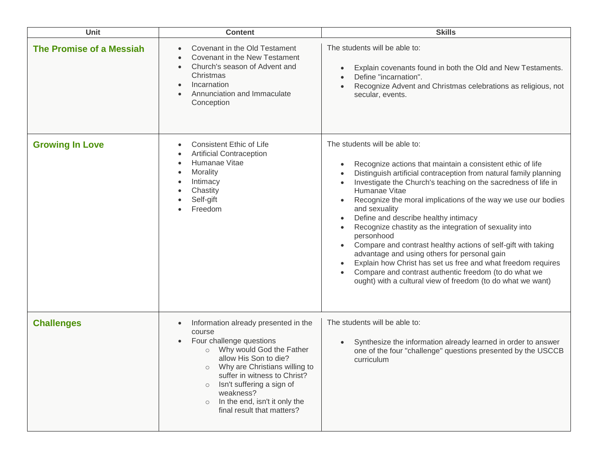| Unit                            | <b>Content</b>                                                                                                                                                                                                                                                                                                                                                     | <b>Skills</b>                                                                                                                                                                                                                                                                                                                                                                                                                                                                                                                                                                                                                                                                                                                                                                |
|---------------------------------|--------------------------------------------------------------------------------------------------------------------------------------------------------------------------------------------------------------------------------------------------------------------------------------------------------------------------------------------------------------------|------------------------------------------------------------------------------------------------------------------------------------------------------------------------------------------------------------------------------------------------------------------------------------------------------------------------------------------------------------------------------------------------------------------------------------------------------------------------------------------------------------------------------------------------------------------------------------------------------------------------------------------------------------------------------------------------------------------------------------------------------------------------------|
| <b>The Promise of a Messiah</b> | Covenant in the Old Testament<br>Covenant in the New Testament<br>Church's season of Advent and<br>$\bullet$<br>Christmas<br>Incarnation<br>$\bullet$<br>Annunciation and Immaculate<br>Conception                                                                                                                                                                 | The students will be able to:<br>Explain covenants found in both the Old and New Testaments.<br>Define "incarnation".<br>Recognize Advent and Christmas celebrations as religious, not<br>secular, events.                                                                                                                                                                                                                                                                                                                                                                                                                                                                                                                                                                   |
| <b>Growing In Love</b>          | <b>Consistent Ethic of Life</b><br>$\bullet$<br><b>Artificial Contraception</b><br>Humanae Vitae<br>$\bullet$<br>Morality<br>Intimacy<br>Chastity<br>Self-gift<br>Freedom                                                                                                                                                                                          | The students will be able to:<br>Recognize actions that maintain a consistent ethic of life<br>$\bullet$<br>Distinguish artificial contraception from natural family planning<br>Investigate the Church's teaching on the sacredness of life in<br>Humanae Vitae<br>Recognize the moral implications of the way we use our bodies<br>and sexuality<br>Define and describe healthy intimacy<br>Recognize chastity as the integration of sexuality into<br>personhood<br>Compare and contrast healthy actions of self-gift with taking<br>advantage and using others for personal gain<br>Explain how Christ has set us free and what freedom requires<br>Compare and contrast authentic freedom (to do what we<br>ought) with a cultural view of freedom (to do what we want) |
| <b>Challenges</b>               | Information already presented in the<br>$\bullet$<br>course<br>Four challenge questions<br>Why would God the Father<br>$\circ$<br>allow His Son to die?<br>Why are Christians willing to<br>$\circ$<br>suffer in witness to Christ?<br>Isn't suffering a sign of<br>$\circ$<br>weakness?<br>In the end, isn't it only the<br>$\circ$<br>final result that matters? | The students will be able to:<br>Synthesize the information already learned in order to answer<br>one of the four "challenge" questions presented by the USCCB<br>curriculum                                                                                                                                                                                                                                                                                                                                                                                                                                                                                                                                                                                                 |